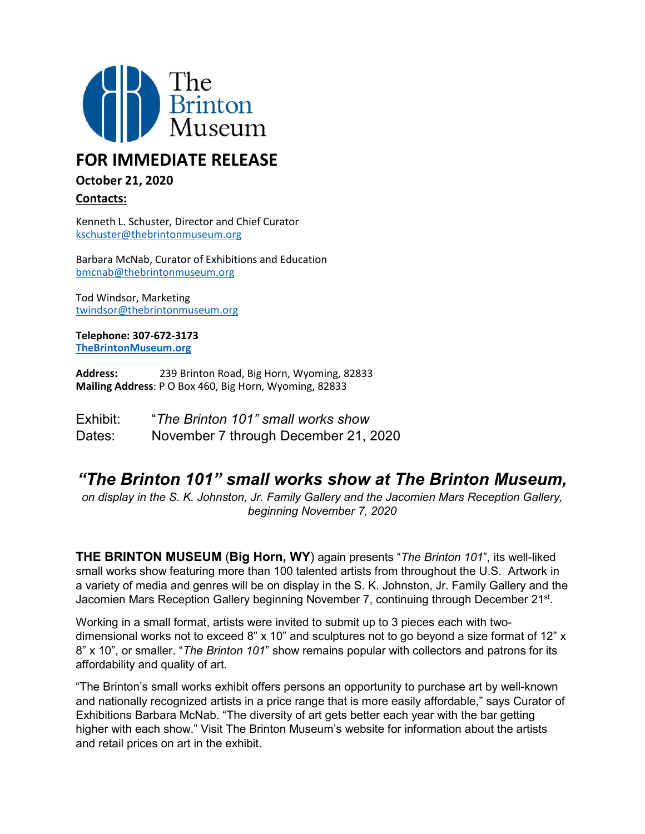

## **FOR IMMEDIATE RELEASE**

## **October 21, 2020**

**Contacts:**

Kenneth L. Schuster, Director and Chief Curator [kschuster@thebrintonmuseum.org](mailto:kschuster@thebrintonmuseum.org)

Barbara McNab, Curator of Exhibitions and Education [bmcnab@thebrintonmuseum.org](mailto:bmcnab@thebrintonmuseum.org)

Tod Windsor, Marketing [twindsor@thebrintonmuseum.org](mailto:twindsor@thebrintonmuseum.org)

**Telephone: 307-672-3173 [TheBrintonMuseum.org](http://www.thebrintonmuseum.org/)**

**Address:** 239 Brinton Road, Big Horn, Wyoming, 82833 **Mailing Address**: P O Box 460, Big Horn, Wyoming, 82833

| Exhibit: | "The Brinton 101" small works show   |
|----------|--------------------------------------|
| Dates:   | November 7 through December 21, 2020 |

## *"The Brinton 101" small works show at The Brinton Museum,*

*on display in the S. K. Johnston, Jr. Family Gallery and the Jacomien Mars Reception Gallery, beginning November 7, 2020*

**THE BRINTON MUSEUM** (**Big Horn, WY**) again presents "*The Brinton 101*", its well-liked small works show featuring more than 100 talented artists from throughout the U.S. Artwork in a variety of media and genres will be on display in the S. K. Johnston, Jr. Family Gallery and the Jacomien Mars Reception Gallery beginning November 7, continuing through December 21st.

Working in a small format, artists were invited to submit up to 3 pieces each with twodimensional works not to exceed 8" x 10" and sculptures not to go beyond a size format of 12" x 8" x 10", or smaller. "*The Brinton 101*" show remains popular with collectors and patrons for its affordability and quality of art.

"The Brinton's small works exhibit offers persons an opportunity to purchase art by well-known and nationally recognized artists in a price range that is more easily affordable," says Curator of Exhibitions Barbara McNab. "The diversity of art gets better each year with the bar getting higher with each show." Visit The Brinton Museum's website for information about the artists and retail prices on art in the exhibit.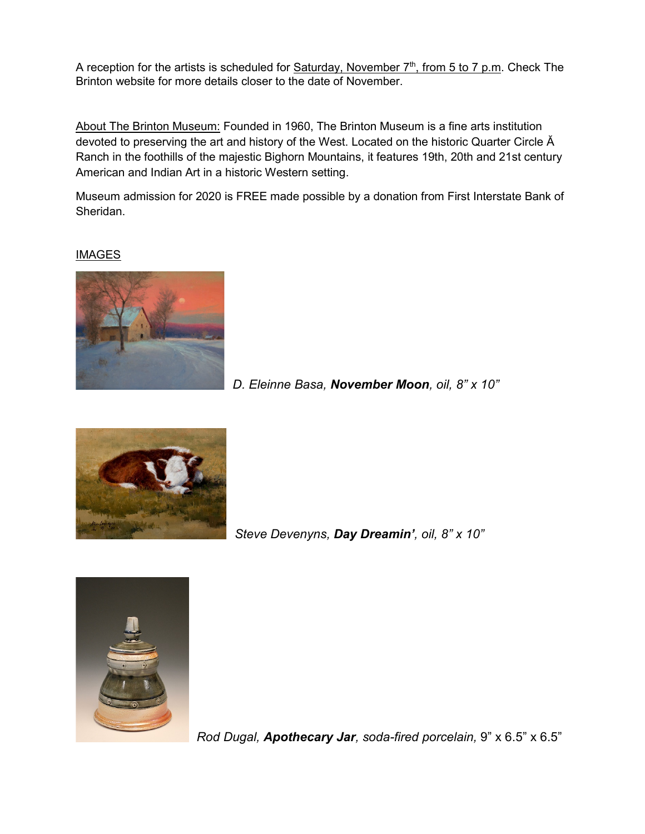A reception for the artists is scheduled for Saturday, November  $7<sup>th</sup>$ , from 5 to 7 p.m. Check The Brinton website for more details closer to the date of November.

About The Brinton Museum: Founded in 1960, The Brinton Museum is a fine arts institution devoted to preserving the art and history of the West. Located on the historic Quarter Circle Ă Ranch in the foothills of the majestic Bighorn Mountains, it features 19th, 20th and 21st century American and Indian Art in a historic Western setting.

Museum admission for 2020 is FREE made possible by a donation from First Interstate Bank of Sheridan.

## IMAGES



*D. Eleinne Basa, November Moon, oil, 8" x 10"* 



*Steve Devenyns, Day Dreamin', oil, 8" x 10"*



*Rod Dugal, Apothecary Jar, soda-fired porcelain,* 9" x 6.5" x 6.5"